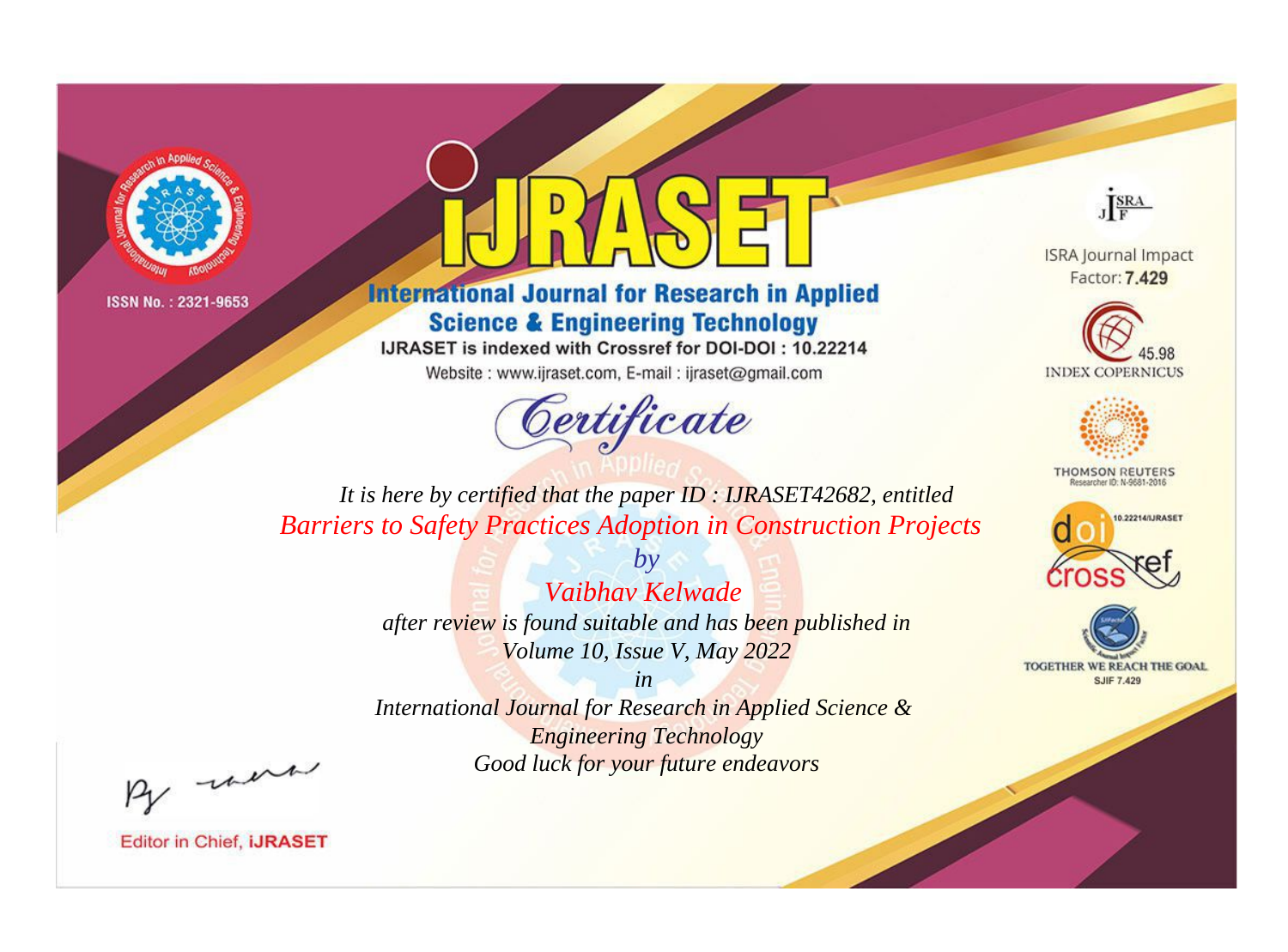



**International Journal for Research in Applied Science & Engineering Technology** 

IJRASET is indexed with Crossref for DOI-DOI: 10.22214

Website: www.ijraset.com, E-mail: ijraset@gmail.com



JERA

**ISRA Journal Impact** Factor: 7.429





**THOMSON REUTERS** 



TOGETHER WE REACH THE GOAL **SJIF 7.429** 

*It is here by certified that the paper ID : IJRASET42682, entitled Barriers to Safety Practices Adoption in Construction Projects*

> *by Vaibhav Kelwade after review is found suitable and has been published in Volume 10, Issue V, May 2022*

> > *in*

*International Journal for Research in Applied Science & Engineering Technology Good luck for your future endeavors*

By morn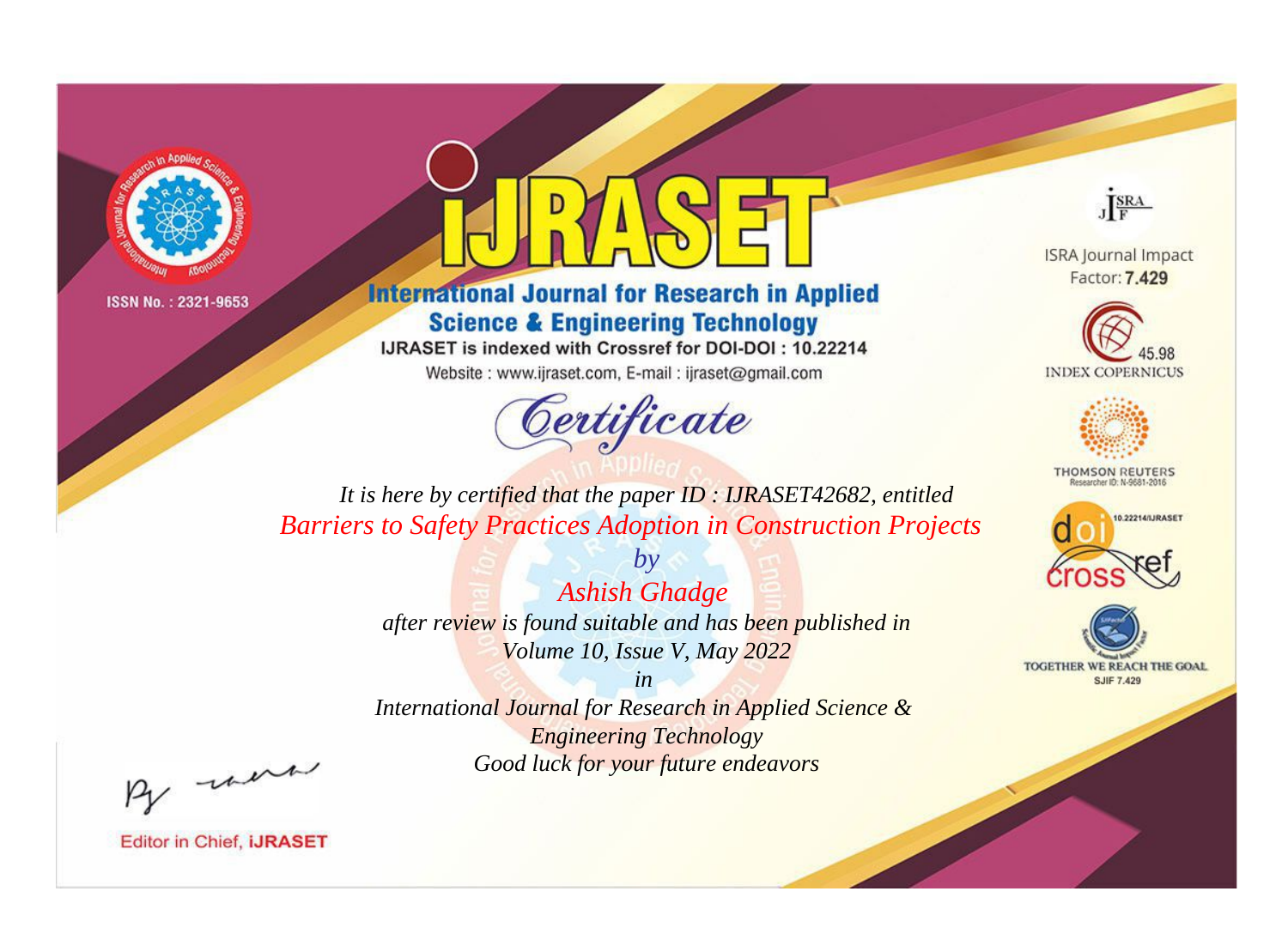



**International Journal for Research in Applied Science & Engineering Technology** 

IJRASET is indexed with Crossref for DOI-DOI: 10.22214

Website: www.ijraset.com, E-mail: ijraset@gmail.com



JERA

**ISRA Journal Impact** Factor: 7.429





**THOMSON REUTERS** 



TOGETHER WE REACH THE GOAL **SJIF 7.429** 

*It is here by certified that the paper ID : IJRASET42682, entitled Barriers to Safety Practices Adoption in Construction Projects*

> *by Ashish Ghadge after review is found suitable and has been published in Volume 10, Issue V, May 2022*

> > *in*

*International Journal for Research in Applied Science & Engineering Technology Good luck for your future endeavors*

By morn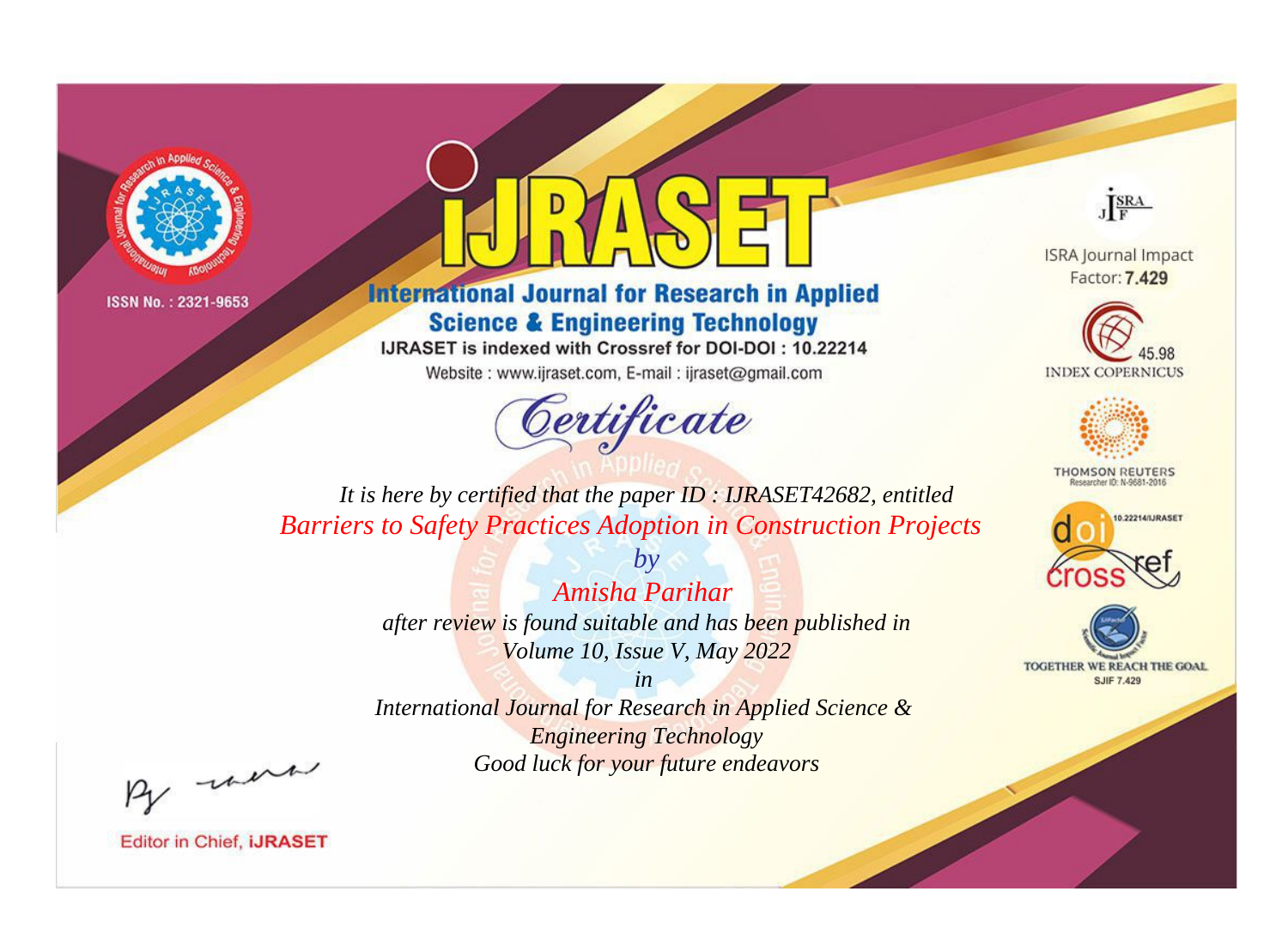



**International Journal for Research in Applied Science & Engineering Technology** 

IJRASET is indexed with Crossref for DOI-DOI: 10.22214

Website: www.ijraset.com, E-mail: ijraset@gmail.com



JERA

**ISRA Journal Impact** Factor: 7.429





**THOMSON REUTERS** 



TOGETHER WE REACH THE GOAL **SJIF 7.429** 

*It is here by certified that the paper ID : IJRASET42682, entitled Barriers to Safety Practices Adoption in Construction Projects*

> *Amisha Parihar after review is found suitable and has been published in Volume 10, Issue V, May 2022*

*by*

*in* 

*International Journal for Research in Applied Science & Engineering Technology Good luck for your future endeavors*

By morn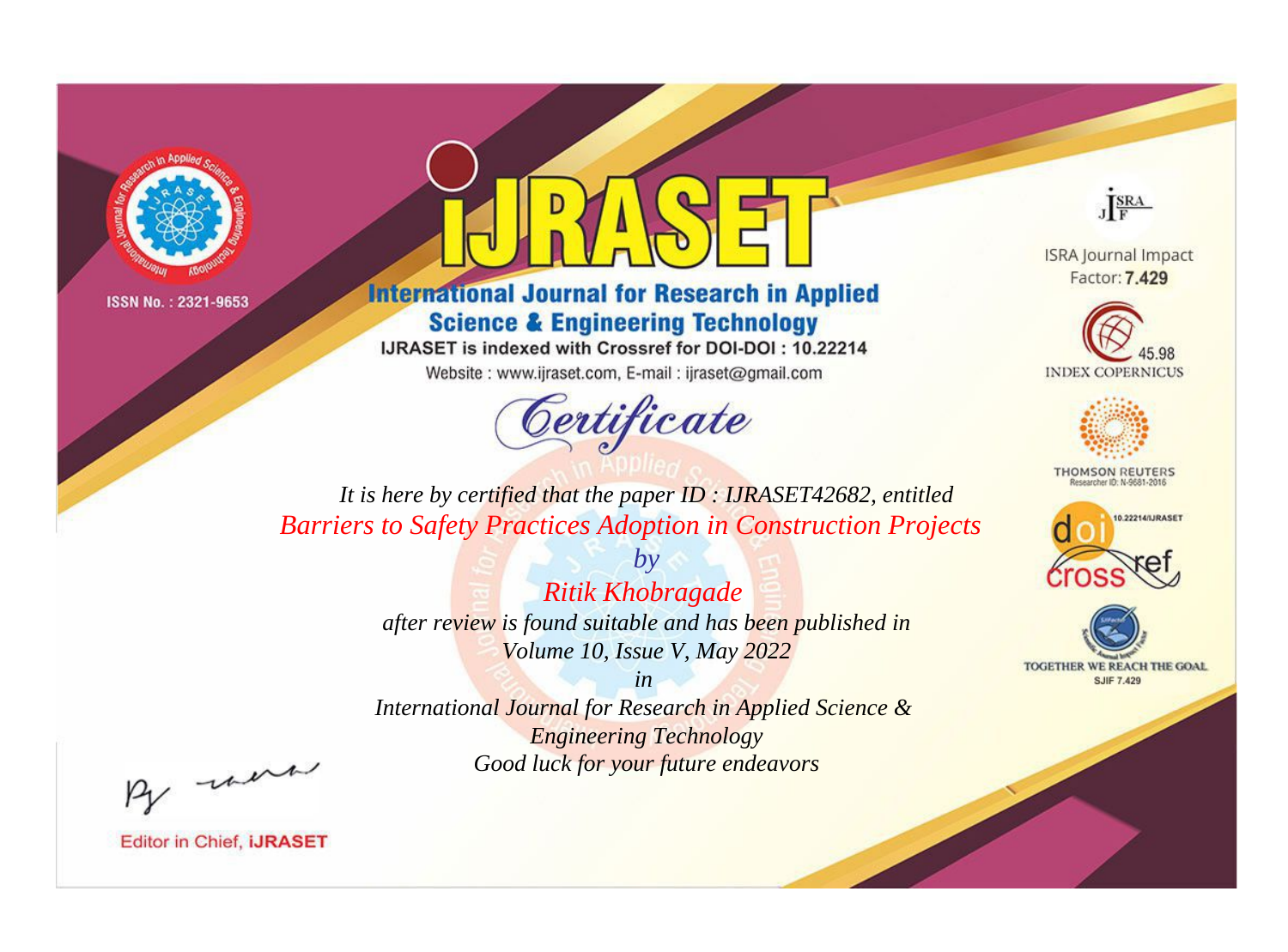



**International Journal for Research in Applied Science & Engineering Technology** 

IJRASET is indexed with Crossref for DOI-DOI: 10.22214

Website: www.ijraset.com, E-mail: ijraset@gmail.com



JERA

**ISRA Journal Impact** Factor: 7.429





**THOMSON REUTERS** 



TOGETHER WE REACH THE GOAL **SJIF 7.429** 

*It is here by certified that the paper ID : IJRASET42682, entitled Barriers to Safety Practices Adoption in Construction Projects*

> *by Ritik Khobragade after review is found suitable and has been published in Volume 10, Issue V, May 2022*

*in International Journal for Research in Applied Science &* 

*Engineering Technology Good luck for your future endeavors*

By morn